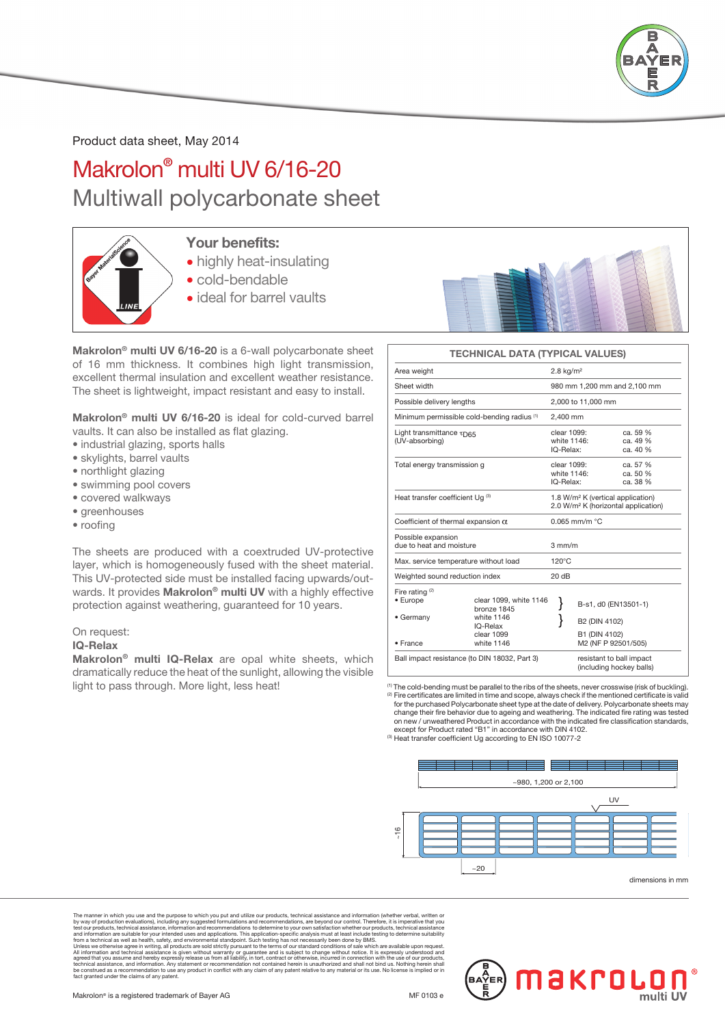

Product data sheet, May 2014

# Makrolon® multi UV 6/16-20 Multiwall polycarbonate sheet



## Your benefits:

- highly heat-insulating
- cold-bendable
- ideal for barrel vaults



### Makrolon® multi UV 6/16-20 is a 6-wall polycarbonate sheet of 16 mm thickness. It combines high light transmission, excellent thermal insulation and excellent weather resistance. The sheet is lightweight, impact resistant and easy to install.

Makrolon® multi UV 6/16-20 is ideal for cold-curved barrel vaults. It can also be installed as flat glazing.

- industrial glazing, sports halls
- skylights, barrel vaults
- northlight glazing
- swimming pool covers
- covered walkways
- greenhouses
- roofing

The sheets are produced with a coextruded UV-protective layer, which is homogeneously fused with the sheet material. This UV-protected side must be installed facing upwards/outwards. It provides Makrolon® multi UV with a highly effective protection against weathering, guaranteed for 10 years.

#### On request:

#### IQ-Relax

Makrolon® multi IQ-Relax are opal white sheets, which dramatically reduce the heat of the sunlight, allowing the visible light to pass through. More light, less heat!

### TECHNICAL DATA (TYPICAL VALUES)

| Area weight                                               |                                                     | $2.8$ kg/m <sup>2</sup> |                                                                                                  |  |  |  |
|-----------------------------------------------------------|-----------------------------------------------------|-------------------------|--------------------------------------------------------------------------------------------------|--|--|--|
| Sheet width                                               |                                                     |                         | 980 mm 1,200 mm and 2,100 mm                                                                     |  |  |  |
| Possible delivery lengths                                 |                                                     |                         | 2,000 to 11,000 mm                                                                               |  |  |  |
| Minimum permissible cold-bending radius (1)               |                                                     |                         | 2.400 mm                                                                                         |  |  |  |
| Light transmittance $\tau_{\text{D65}}$<br>(UV-absorbing) |                                                     |                         | clear 1099:<br>ca. 59 %<br>white 1146:<br>ca. 49 %<br>IQ-Relax:<br>ca. 40 %                      |  |  |  |
| Total energy transmission g                               |                                                     |                         | clear 1099:<br>ca. 57 %<br>white 1146:<br>ca. 50 %<br>IQ-Relax:<br>ca. 38 %                      |  |  |  |
| Heat transfer coefficient Ug (3)                          |                                                     |                         | 1.8 W/m <sup>2</sup> K (vertical application)<br>2.0 W/m <sup>2</sup> K (horizontal application) |  |  |  |
| Coefficient of thermal expansion $\alpha$                 |                                                     |                         | $0.065$ mm/m $°C$                                                                                |  |  |  |
| Possible expansion<br>due to heat and moisture            |                                                     |                         | $3 \text{ mm/m}$                                                                                 |  |  |  |
| Max. service temperature without load                     |                                                     |                         | $120^{\circ}$ C                                                                                  |  |  |  |
| Weighted sound reduction index                            |                                                     |                         |                                                                                                  |  |  |  |
| Fire rating $(2)$<br>• Europe                             | clear 1099, white 1146<br>bronze 1845<br>white 1146 |                         | B-s1, d0 (EN13501-1)                                                                             |  |  |  |
| • Germany                                                 | IQ-Relax                                            |                         | B2 (DIN 4102)                                                                                    |  |  |  |
| · France                                                  | clear 1099<br>white 1146                            |                         | B1 (DIN 4102)<br>M2 (NF P 92501/505)                                                             |  |  |  |
| Ball impact resistance (to DIN 18032, Part 3)             |                                                     |                         | resistant to ball impact<br>(including hockey balls)                                             |  |  |  |

(1) The cold-bending must be parallel to the ribs of the sheets, never crosswise (risk of buckling). <sup>(2)</sup> Fire certificates are limited in time and scope, always check if the mentioned certificate is valid for the purchased Polycarbonate sheet type at the date of delivery. Polycarbonate sheets may change their fire behavior due to ageing and weathering. The indicated fire rating was tested<br>on new / unweathered Product in accordance with the indicated fire classification standards,<br>except for Product rated "B1" in ac

(3) Heat transfer coefficient Ug according to EN ISO 10077-2



The manner in which you use and the purpose to which you put and utilize our production, each systemce and information experiments by way of production evaluations), including any suggested formulations and recommendations The manner in which you use and the purpose to which you put and utilize our production, technical assistance and information evaluations, including any suggested formulations and recommendations, are beyond our control. T